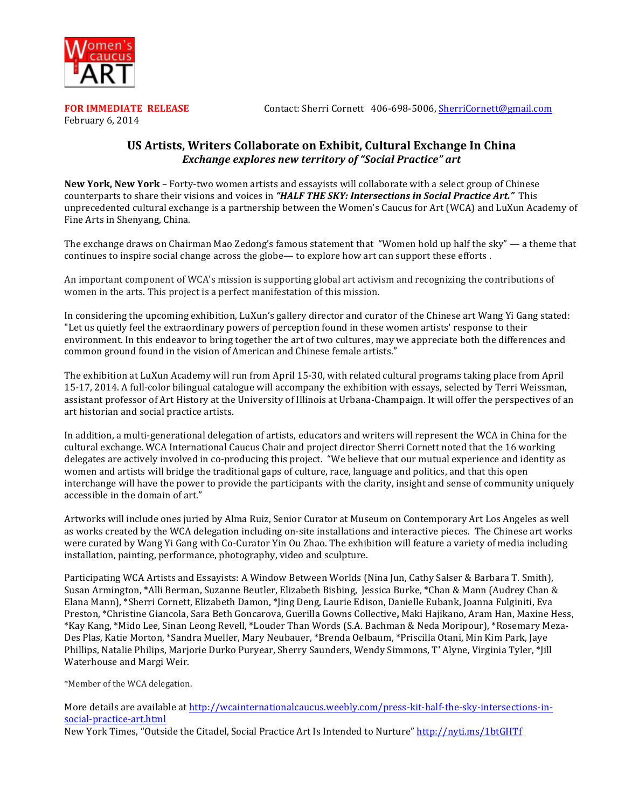

**February 6, 2014** 

**FOR IMMEDIATE RELEASE** *Contact:* **Sherri Cornett 406-698-5006, SherriCornett@gmail.com** 

## **US Artists, Writers Collaborate on Exhibit, Cultural Exchange In China** *Exchange explores new territory of "Social Practice" art*

**New York, New York** – Forty-two women artists and essayists will collaborate with a select group of Chinese counterparts to share their visions and voices in *"HALF THE SKY: Intersections in Social Practice Art."* This unprecedented cultural exchange is a partnership between the Women's Caucus for Art (WCA) and LuXun Academy of Fine Arts in Shenyang, China.

The exchange draws on Chairman Mao Zedong's famous statement that "Women hold up half the sky" — a theme that continues to inspire social change across the globe— to explore how art can support these efforts .

An important component of WCA's mission is supporting global art activism and recognizing the contributions of women in the arts. This project is a perfect manifestation of this mission.

In considering the upcoming exhibition, LuXun's gallery director and curator of the Chinese art Wang Yi Gang stated: "Let us quietly feel the extraordinary powers of perception found in these women artists' response to their environment. In this endeavor to bring together the art of two cultures, may we appreciate both the differences and common ground found in the vision of American and Chinese female artists."

The exhibition at LuXun Academy will run from April 15-30, with related cultural programs taking place from April 15-17, 2014. A full-color bilingual catalogue will accompany the exhibition with essays, selected by Terri Weissman, assistant professor of Art History at the University of Illinois at Urbana-Champaign. It will offer the perspectives of an art historian and social practice artists.

In addition, a multi-generational delegation of artists, educators and writers will represent the WCA in China for the cultural exchange. WCA International Caucus Chair and project director Sherri Cornett noted that the 16 working delegates are actively involved in co-producing this project. "We believe that our mutual experience and identity as women and artists will bridge the traditional gaps of culture, race, language and politics, and that this open interchange will have the power to provide the participants with the clarity, insight and sense of community uniquely accessible in the domain of art."

Artworks will include ones juried by Alma Ruiz, Senior Curator at Museum on Contemporary Art Los Angeles as well as works created by the WCA delegation including on-site installations and interactive pieces. The Chinese art works were curated by Wang Yi Gang with Co-Curator Yin Ou Zhao. The exhibition will feature a variety of media including installation, painting, performance, photography, video and sculpture.

Participating WCA Artists and Essayists: A Window Between Worlds (Nina Jun, Cathy Salser & Barbara T. Smith), Susan Armington, \*Alli Berman, Suzanne Beutler, Elizabeth Bisbing, Jessica Burke, \*Chan & Mann (Audrey Chan & Elana Mann), \*Sherri Cornett, Elizabeth Damon, \*Jing Deng, Laurie Edison, Danielle Eubank, Joanna Fulginiti, Eva Preston, \*Christine Giancola, Sara Beth Goncarova, Guerilla Gowns Collective, Maki Hajikano, Aram Han, Maxine Hess, \*Kay Kang, \*Mido Lee, Sinan Leong Revell, \*Louder Than Words (S.A. Bachman & Neda Moripour), \*Rosemary Meza-Des Plas, Katie Morton, \*Sandra Mueller, Mary Neubauer, \*Brenda Oelbaum, \*Priscilla Otani, Min Kim Park, Jaye Phillips, Natalie Philips, Marjorie Durko Puryear, Sherry Saunders, Wendy Simmons, T' Alyne, Virginia Tyler, \*Jill Waterhouse and Margi Weir.

\*Member of the WCA delegation.

More details are available at http://wcainternationalcaucus.weebly.com/press-kit-half-the-sky-intersections-insocial-practice-art.html

New York Times, "Outside the Citadel, Social Practice Art Is Intended to Nurture" http://nyti.ms/1btGHTf